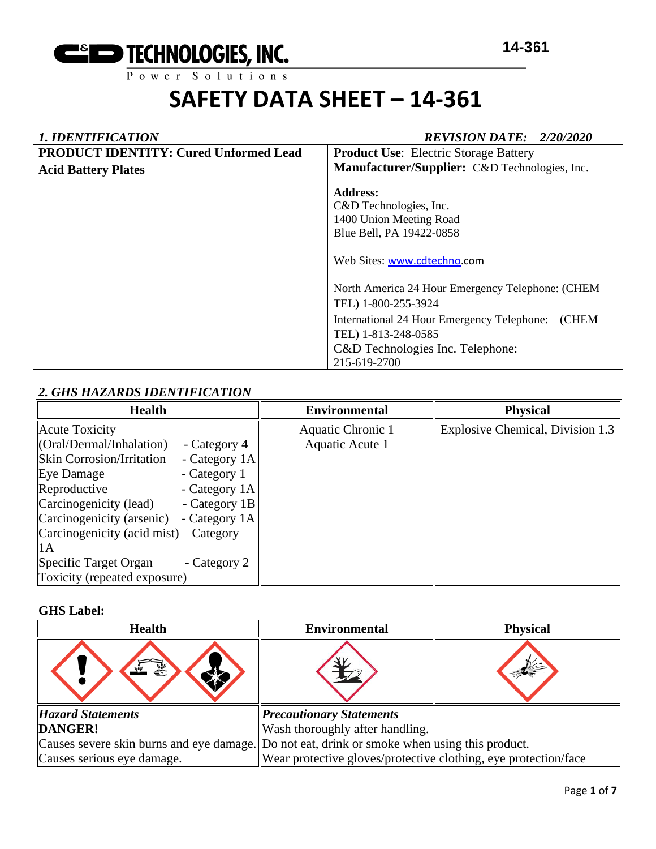

# *1. IDENTIFICATION REVISION DATE: 2/20/2020* **PRODUCT IDENTITY: Cured Unformed Lead Acid Battery Plates Product Use**: Electric Storage Battery **Manufacturer/Supplier:** C&D Technologies, Inc. **Address:**  C&D Technologies, Inc. 1400 Union Meeting Road Blue Bell, PA 19422-0858 Web Sites: [www.cdtechno.](http://www.cdtechno/)com North America 24 Hour Emergency Telephone: (CHEM TEL) 1-800-255-3924 International 24 Hour Emergency Telephone: (CHEM TEL) 1-813-248-0585 C&D Technologies Inc. Telephone: 215-619-2700

# *2. GHS HAZARDS IDENTIFICATION*

| <b>Health</b>                                                 |               | <b>Environmental</b> | <b>Physical</b>                  |
|---------------------------------------------------------------|---------------|----------------------|----------------------------------|
| Acute Toxicity                                                |               | Aquatic Chronic 1    | Explosive Chemical, Division 1.3 |
| $\langle \text{Oral}/\text{Dermal}/\text{Inhalation} \rangle$ | - Category 4  | Aquatic Acute 1      |                                  |
| <b>Skin Corrosion/Irritation</b>                              | - Category 1A |                      |                                  |
| Eye Damage                                                    | - Category 1  |                      |                                  |
| Reproductive                                                  | - Category 1A |                      |                                  |
| $\alpha$ Carcinogenicity (lead)                               | - Category 1B |                      |                                  |
| Carcinogenicity (arsenic)                                     | - Category 1A |                      |                                  |
| $\alpha$ Carcinogenicity (acid mist) – Category               |               |                      |                                  |
| $\mathsf{II}$ A                                               |               |                      |                                  |
| Specific Target Organ                                         | - Category 2  |                      |                                  |
| Toxicity (repeated exposure)                                  |               |                      |                                  |

### **GHS Label:**

| <b>Health</b>              | <b>Environmental</b>                                                                         | <b>Physical</b> |  |
|----------------------------|----------------------------------------------------------------------------------------------|-----------------|--|
|                            |                                                                                              |                 |  |
| <b>Hazard Statements</b>   | <b>Precautionary Statements</b>                                                              |                 |  |
| DANGER!                    | Wash thoroughly after handling.                                                              |                 |  |
|                            | Causes severe skin burns and eye damage. Do not eat, drink or smoke when using this product. |                 |  |
| Causes serious eye damage. | Wear protective gloves/protective clothing, eye protection/face                              |                 |  |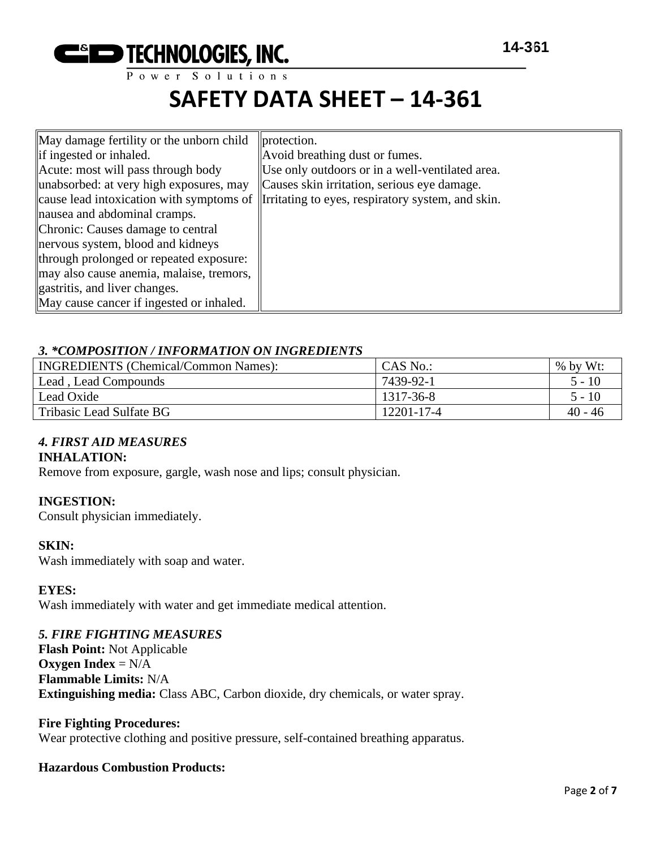

| May damage fertility or the unborn child | protection.                                                                                         |
|------------------------------------------|-----------------------------------------------------------------------------------------------------|
| if ingested or inhaled.                  | Avoid breathing dust or fumes.                                                                      |
| Acute: most will pass through body       | Use only outdoors or in a well-ventilated area.                                                     |
| unabsorbed: at very high exposures, may  | Causes skin irritation, serious eye damage.                                                         |
|                                          | cause lead intoxication with symptoms of <i>I</i> Irritating to eyes, respiratory system, and skin. |
| nausea and abdominal cramps.             |                                                                                                     |
| Chronic: Causes damage to central        |                                                                                                     |
| nervous system, blood and kidneys        |                                                                                                     |
| through prolonged or repeated exposure:  |                                                                                                     |
| may also cause anemia, malaise, tremors, |                                                                                                     |
| gastritis, and liver changes.            |                                                                                                     |
| May cause cancer if ingested or inhaled. |                                                                                                     |

## *3. \*COMPOSITION / INFORMATION ON INGREDIENTS*

| <b>INGREDIENTS</b> (Chemical/Common Names): | CAS No.:   | $%$ by Wt: |
|---------------------------------------------|------------|------------|
| Lead, Lead Compounds                        | 7439-92-1  | $5 - 10$   |
| Lead Oxide                                  | 1317-36-8  | 5 - 10     |
| Tribasic Lead Sulfate BG                    | 12201-17-4 | $40 - 46$  |

# *4. FIRST AID MEASURES*

### **INHALATION:**

Remove from exposure, gargle, wash nose and lips; consult physician.

### **INGESTION:**

Consult physician immediately.

### **SKIN:**

Wash immediately with soap and water.

#### **EYES:**

Wash immediately with water and get immediate medical attention.

### *5. FIRE FIGHTING MEASURES*

**Flash Point:** Not Applicable **Oxygen Index** = N/A **Flammable Limits:** N/A **Extinguishing media:** Class ABC, Carbon dioxide, dry chemicals, or water spray.

#### **Fire Fighting Procedures:**

Wear protective clothing and positive pressure, self-contained breathing apparatus.

### **Hazardous Combustion Products:**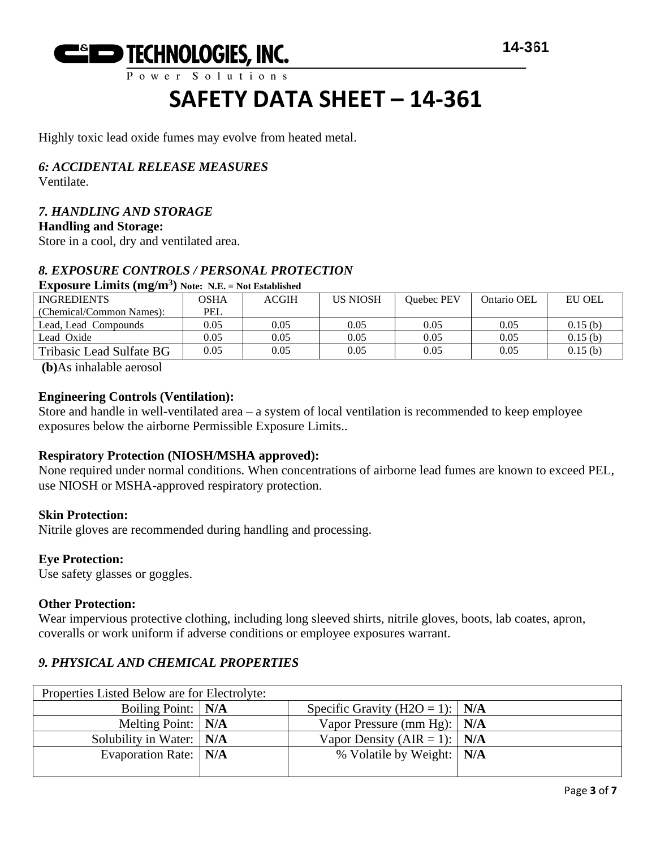

Highly toxic lead oxide fumes may evolve from heated metal.

# *6: ACCIDENTAL RELEASE MEASURES*

Ventilate.

# *7. HANDLING AND STORAGE*

**Handling and Storage:**

Store in a cool, dry and ventilated area.

# *8. EXPOSURE CONTROLS / PERSONAL PROTECTION*

### **Exposure Limits (mg/m<sup>3</sup> ) Note: N.E. = Not Established**

| $\overline{ }$           |            |              |                 |                   |             |               |
|--------------------------|------------|--------------|-----------------|-------------------|-------------|---------------|
| <b>INGREDIENTS</b>       | OSHA       | <b>ACGIH</b> | <b>US NIOSH</b> | <b>Ouebec PEV</b> | Ontario OEL | <b>EU OEL</b> |
| (Chemical/Common Names): | <b>PEL</b> |              |                 |                   |             |               |
| Lead, Lead Compounds     | 0.05       | 0.05         | 0.05            | 0.05              | 0.05        | 0.15(b)       |
| Lead Oxide               | 0.05       | 0.05         | 0.05            | 0.05              | 0.05        | 0.15(b)       |
| Tribasic Lead Sulfate BG | 0.05       | 0.05         | 0.05            | 0.05              | 0.05        | 0.15(b)       |

**(b)**As inhalable aerosol

#### **Engineering Controls (Ventilation):**

Store and handle in well-ventilated area – a system of local ventilation is recommended to keep employee exposures below the airborne Permissible Exposure Limits..

### **Respiratory Protection (NIOSH/MSHA approved):**

None required under normal conditions. When concentrations of airborne lead fumes are known to exceed PEL, use NIOSH or MSHA-approved respiratory protection.

#### **Skin Protection:**

Nitrile gloves are recommended during handling and processing.

#### **Eye Protection:**

Use safety glasses or goggles.

#### **Other Protection:**

Wear impervious protective clothing, including long sleeved shirts, nitrile gloves, boots, lab coates, apron, coveralls or work uniform if adverse conditions or employee exposures warrant.

# *9. PHYSICAL AND CHEMICAL PROPERTIES*

| Properties Listed Below are for Electrolyte: |                                         |  |
|----------------------------------------------|-----------------------------------------|--|
| Boiling Point:   N/A                         | Specific Gravity (H2O = 1): $\vert$ N/A |  |
| Melting Point: $\vert$ N/A                   | Vapor Pressure (mm Hg): $\vert$ N/A     |  |
| Solubility in Water: N/A                     | Vapor Density (AIR = 1): $N/A$          |  |
| Evaporation Rate:   N/A                      | % Volatile by Weight:   N/A             |  |
|                                              |                                         |  |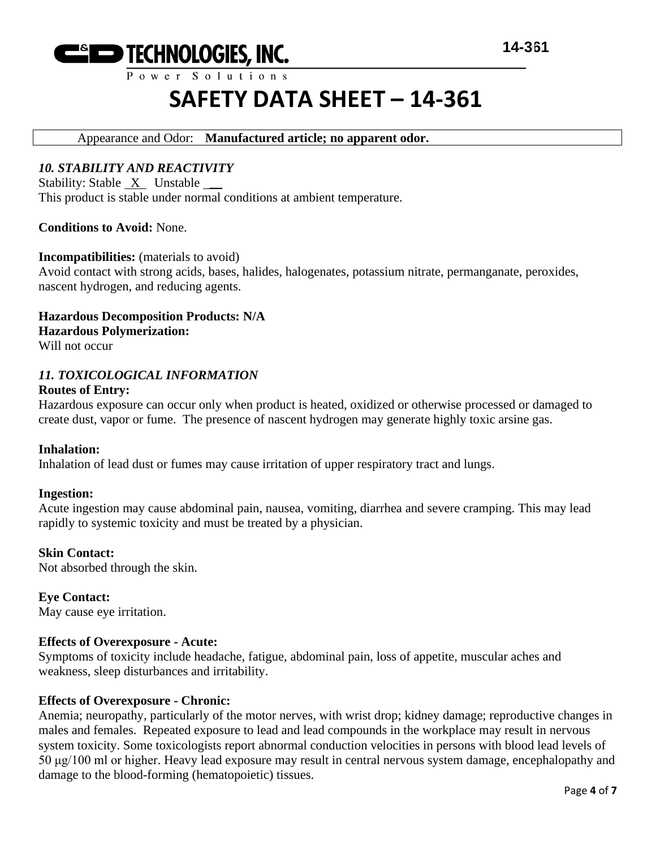

Power Solutions

# **SAFETY DATA SHEET – 14-361**

# Appearance and Odor: **Manufactured article; no apparent odor.**

### *10. STABILITY AND REACTIVITY*

Stability: Stable X Unstable This product is stable under normal conditions at ambient temperature.

**Conditions to Avoid:** None.

#### **Incompatibilities:** (materials to avoid)

Avoid contact with strong acids, bases, halides, halogenates, potassium nitrate, permanganate, peroxides, nascent hydrogen, and reducing agents.

**Hazardous Decomposition Products: N/A Hazardous Polymerization:**

Will not occur

#### *11. TOXICOLOGICAL INFORMATION* **Routes of Entry:**

Hazardous exposure can occur only when product is heated, oxidized or otherwise processed or damaged to create dust, vapor or fume. The presence of nascent hydrogen may generate highly toxic arsine gas.

#### **Inhalation:**

Inhalation of lead dust or fumes may cause irritation of upper respiratory tract and lungs.

#### **Ingestion:**

Acute ingestion may cause abdominal pain, nausea, vomiting, diarrhea and severe cramping. This may lead rapidly to systemic toxicity and must be treated by a physician.

#### **Skin Contact:**

Not absorbed through the skin.

**Eye Contact:** May cause eye irritation.

#### **Effects of Overexposure - Acute:**

Symptoms of toxicity include headache, fatigue, abdominal pain, loss of appetite, muscular aches and weakness, sleep disturbances and irritability.

### **Effects of Overexposure - Chronic:**

Anemia; neuropathy, particularly of the motor nerves, with wrist drop; kidney damage; reproductive changes in males and females. Repeated exposure to lead and lead compounds in the workplace may result in nervous system toxicity. Some toxicologists report abnormal conduction velocities in persons with blood lead levels of 50 μg/100 ml or higher. Heavy lead exposure may result in central nervous system damage, encephalopathy and damage to the blood-forming (hematopoietic) tissues.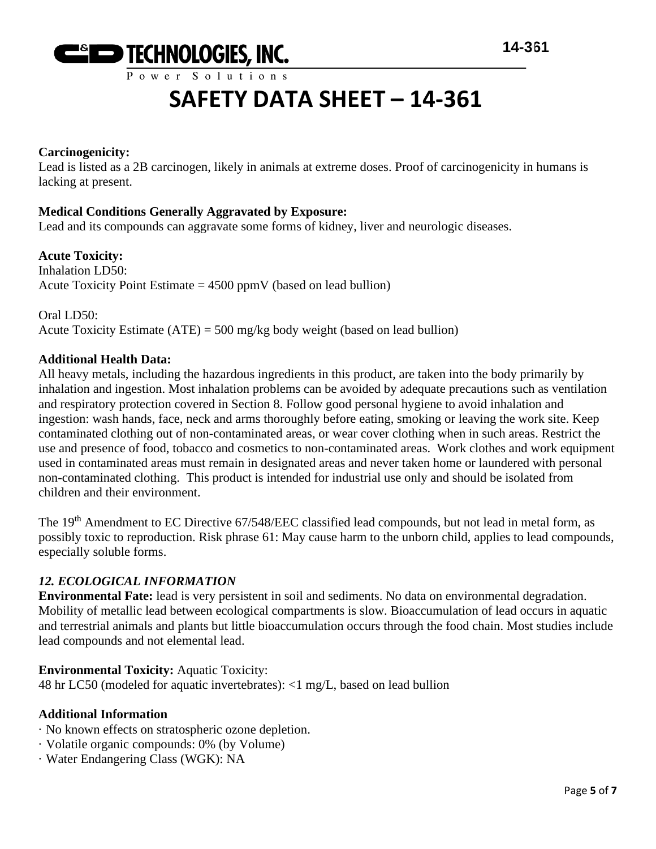

### **Carcinogenicity:**

Lead is listed as a 2B carcinogen, likely in animals at extreme doses. Proof of carcinogenicity in humans is lacking at present.

## **Medical Conditions Generally Aggravated by Exposure:**

Lead and its compounds can aggravate some forms of kidney, liver and neurologic diseases.

## **Acute Toxicity:**

Inhalation LD50: Acute Toxicity Point Estimate  $= 4500$  ppmV (based on lead bullion)

Oral LD50: Acute Toxicity Estimate (ATE) = 500 mg/kg body weight (based on lead bullion)

## **Additional Health Data:**

All heavy metals, including the hazardous ingredients in this product, are taken into the body primarily by inhalation and ingestion. Most inhalation problems can be avoided by adequate precautions such as ventilation and respiratory protection covered in Section 8. Follow good personal hygiene to avoid inhalation and ingestion: wash hands, face, neck and arms thoroughly before eating, smoking or leaving the work site. Keep contaminated clothing out of non-contaminated areas, or wear cover clothing when in such areas. Restrict the use and presence of food, tobacco and cosmetics to non-contaminated areas. Work clothes and work equipment used in contaminated areas must remain in designated areas and never taken home or laundered with personal non-contaminated clothing. This product is intended for industrial use only and should be isolated from children and their environment.

The 19<sup>th</sup> Amendment to EC Directive 67/548/EEC classified lead compounds, but not lead in metal form, as possibly toxic to reproduction. Risk phrase 61: May cause harm to the unborn child, applies to lead compounds, especially soluble forms.

# *12. ECOLOGICAL INFORMATION*

**Environmental Fate:** lead is very persistent in soil and sediments. No data on environmental degradation. Mobility of metallic lead between ecological compartments is slow. Bioaccumulation of lead occurs in aquatic and terrestrial animals and plants but little bioaccumulation occurs through the food chain. Most studies include lead compounds and not elemental lead.

### **Environmental Toxicity:** Aquatic Toxicity:

48 hr LC50 (modeled for aquatic invertebrates): <1 mg/L, based on lead bullion

### **Additional Information**

- · No known effects on stratospheric ozone depletion.
- · Volatile organic compounds: 0% (by Volume)
- · Water Endangering Class (WGK): NA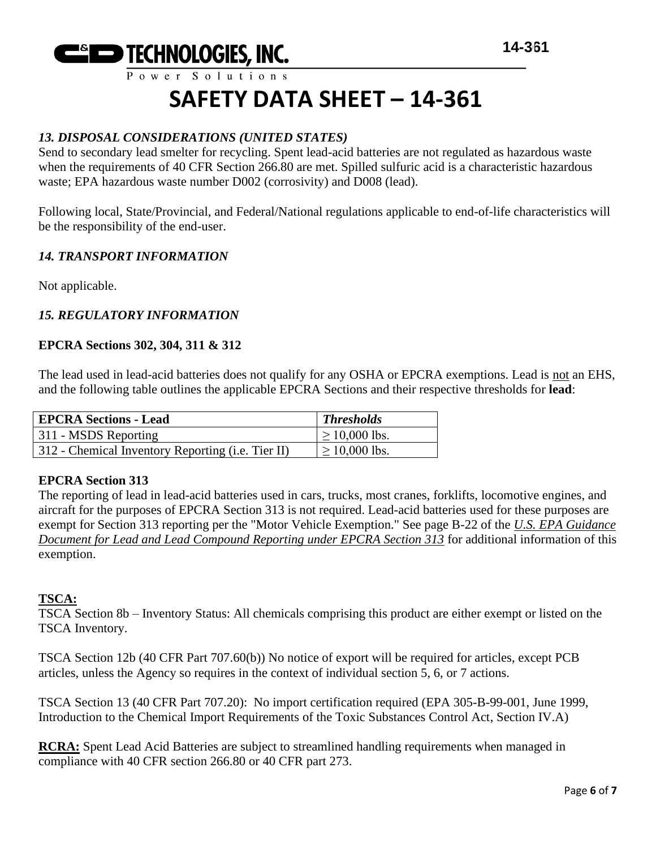

Power Solutions

# **SAFETY DATA SHEET – 14-361**

# *13. DISPOSAL CONSIDERATIONS (UNITED STATES)*

Send to secondary lead smelter for recycling. Spent lead-acid batteries are not regulated as hazardous waste when the requirements of 40 CFR Section 266.80 are met. Spilled sulfuric acid is a characteristic hazardous waste; EPA hazardous waste number D002 (corrosivity) and D008 (lead).

Following local, State/Provincial, and Federal/National regulations applicable to end-of-life characteristics will be the responsibility of the end-user.

# *14. TRANSPORT INFORMATION*

Not applicable.

# *15. REGULATORY INFORMATION*

# **EPCRA Sections 302, 304, 311 & 312**

The lead used in lead-acid batteries does not qualify for any OSHA or EPCRA exemptions. Lead is not an EHS, and the following table outlines the applicable EPCRA Sections and their respective thresholds for **lead**:

| <b>EPCRA Sections - Lead</b>                      | <b>Thresholds</b>  |
|---------------------------------------------------|--------------------|
| 311 - MSDS Reporting                              | $\geq 10,000$ lbs. |
| 312 - Chemical Inventory Reporting (i.e. Tier II) | $\geq 10,000$ lbs. |

### **EPCRA Section 313**

The reporting of lead in lead-acid batteries used in cars, trucks, most cranes, forklifts, locomotive engines, and aircraft for the purposes of EPCRA Section 313 is not required. Lead-acid batteries used for these purposes are exempt for Section 313 reporting per the "Motor Vehicle Exemption." See page B-22 of the *U.S. EPA Guidance Document for Lead and Lead Compound Reporting under EPCRA Section 313* for additional information of this exemption.

# **TSCA:**

TSCA Section 8b – Inventory Status: All chemicals comprising this product are either exempt or listed on the TSCA Inventory.

TSCA Section 12b (40 CFR Part 707.60(b)) No notice of export will be required for articles, except PCB articles, unless the Agency so requires in the context of individual section 5, 6, or 7 actions.

TSCA Section 13 (40 CFR Part 707.20): No import certification required (EPA 305-B-99-001, June 1999, Introduction to the Chemical Import Requirements of the Toxic Substances Control Act, Section IV.A)

**RCRA:** Spent Lead Acid Batteries are subject to streamlined handling requirements when managed in compliance with 40 CFR section 266.80 or 40 CFR part 273.